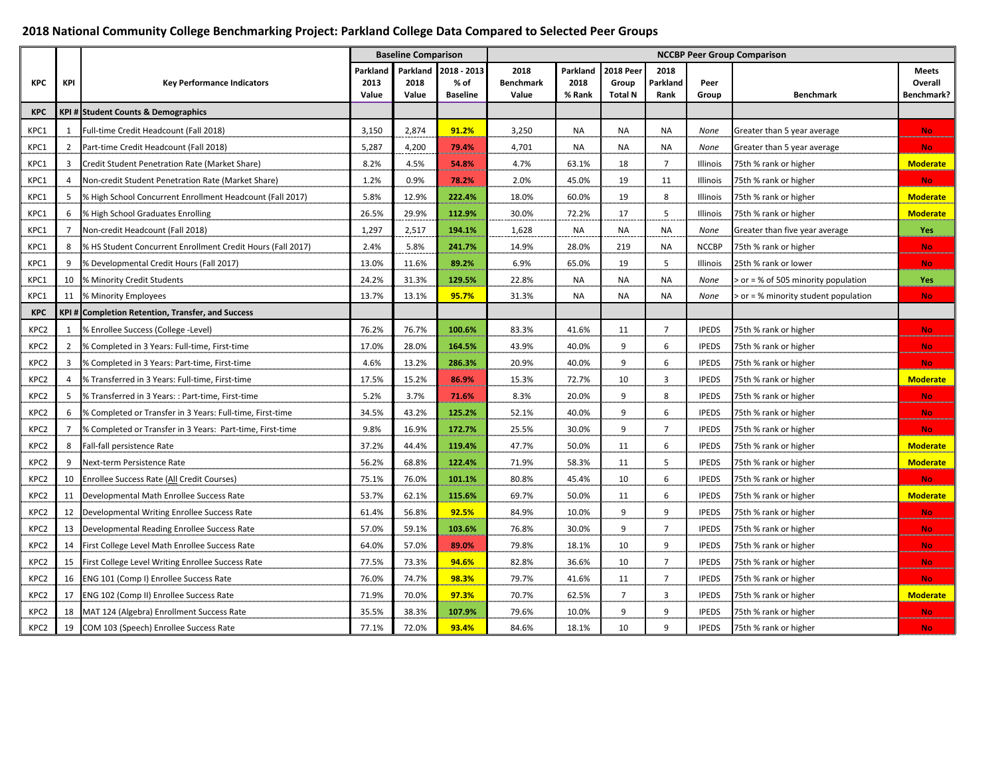#### **2018 National Community College Benchmarking Project: Parkland College Data Compared to Selected Peer Groups**

|                  |                |                                                             |               | <b>Baseline Comparison</b> |                         | <b>NCCBP Peer Group Comparison</b> |                |                  |                  |               |                                      |                              |
|------------------|----------------|-------------------------------------------------------------|---------------|----------------------------|-------------------------|------------------------------------|----------------|------------------|------------------|---------------|--------------------------------------|------------------------------|
|                  |                |                                                             | Parkland      | Parkland                   | 2018 - 2013             | 2018                               | Parkland       | <b>2018 Peer</b> | 2018             |               |                                      | <b>Meets</b>                 |
| <b>KPC</b>       | KPI            | <b>Key Performance Indicators</b>                           | 2013<br>Value | 2018<br>Value              | % of<br><b>Baseline</b> | <b>Benchmark</b><br>Value          | 2018<br>% Rank | Group<br>Total N | Parkland<br>Rank | Peer<br>Group | <b>Benchmark</b>                     | Overall<br><b>Benchmark?</b> |
| <b>KPC</b>       |                | KPI # Student Counts & Demographics                         |               |                            |                         |                                    |                |                  |                  |               |                                      |                              |
| KPC1             | 1              | Full-time Credit Headcount (Fall 2018)                      | 3,150         | 2,874                      | 91.2%                   | 3,250                              | <b>NA</b>      | NA               | NA               | None          | Greater than 5 year average          | No.                          |
| KPC1             | 2              | Part-time Credit Headcount (Fall 2018)                      | 5,287         | 4,200                      | 79.4%                   | 4,701                              | <b>NA</b>      | <b>NA</b>        | <b>NA</b>        | None          | Greater than 5 year average          | <b>No</b>                    |
| KPC1             |                | Credit Student Penetration Rate (Market Share)              | 8.2%          | 4.5%                       | 54.8%                   | 4.7%                               | 63.1%          | 18               | $\overline{z}$   | Illinois      | 75th % rank or higher                | <b>Moderate</b>              |
| KPC1             |                | Non-credit Student Penetration Rate (Market Share)          | 1.2%          | 0.9%                       | 78.2%                   | 2.0%                               | 45.0%          | 19               | 11               | Illinois      | 75th % rank or higher                | <b>No</b>                    |
| KPC1             |                | % High School Concurrent Enrollment Headcount (Fall 2017)   | 5.8%          | 12.9%                      | 222.4%                  | 18.0%                              | 60.0%          | 19               | 8                | Illinois      | 75th % rank or higher                | <b>Moderate</b>              |
| KPC1             | 6              | % High School Graduates Enrolling                           | 26.5%         | 29.9%                      | 112.9%                  | 30.0%                              | 72.2%          | 17               | 5                | Illinois      | 75th % rank or higher                | <b>Moderate</b>              |
| KPC1             | 7              | Non-credit Headcount (Fall 2018)                            | 1,297         | 2,517                      | 194.1%                  | 1,628                              | NA             | <b>NA</b>        | <b>NA</b>        | None          | Greater than five year average       | Yes                          |
| KPC1             | 8              | % HS Student Concurrent Enrollment Credit Hours (Fall 2017) | 2.4%          | 5.8%                       | 241.7%                  | 14.9%                              | 28.0%          | 219              | NA               | <b>NCCBP</b>  | 75th % rank or higher                | No.                          |
| KPC1             | 9              | % Developmental Credit Hours (Fall 2017)                    | 13.0%         | 11.6%                      | 89.2%                   | 6.9%                               | 65.0%          | 19               | 5                | Illinois      | 25th % rank or lower                 | <b>No</b>                    |
| KPC1             | 10             | % Minority Credit Students                                  | 24.2%         | 31.3%                      | 129.5%                  | 22.8%                              | NA             | NA               | NA               | None          | > or = % of 505 minority population  | Yes                          |
| KPC1             |                | 11 % Minority Employees                                     | 13.7%         | 13.1%                      | 95.7%                   | 31.3%                              | NA             | <b>NA</b>        | <b>NA</b>        | None          | > or = % minority student population | <b>No</b>                    |
| <b>KPC</b>       |                | KPI # Completion Retention, Transfer, and Success           |               |                            |                         |                                    |                |                  |                  |               |                                      |                              |
| KPC <sub>2</sub> |                | % Enrollee Success (College -Level)                         | 76.2%         | 76.7%                      | 100.6%                  | 83.3%                              | 41.6%          | 11               | $\overline{7}$   | <b>IPEDS</b>  | 75th % rank or higher                | No.                          |
| KPC2             | $\overline{2}$ | % Completed in 3 Years: Full-time, First-time               | 17.0%         | 28.0%                      | 164.5%                  | 43.9%                              | 40.0%          | 9                | 6                | <b>IPEDS</b>  | 75th % rank or higher                | <b>No</b>                    |
| KPC <sub>2</sub> |                | % Completed in 3 Years: Part-time, First-time               | 4.6%          | 13.2%                      | 286.3%                  | 20.9%                              | 40.0%          | 9                | 6                | <b>IPEDS</b>  | 75th % rank or higher                | <b>No</b>                    |
| KPC <sub>2</sub> | 4              | % Transferred in 3 Years: Full-time, First-time             | 17.5%         | 15.2%                      | 86.9%                   | 15.3%                              | 72.7%          | 10               | 3                | <b>IPEDS</b>  | 75th % rank or higher                | <b>Moderate</b>              |
| KPC <sub>2</sub> | 5              | % Transferred in 3 Years: : Part-time, First-time           | 5.2%          | 3.7%                       | 71.6%                   | 8.3%                               | 20.0%          | 9                | 8                | <b>IPEDS</b>  | 75th % rank or higher                | <b>No</b>                    |
| KPC2             | 6              | % Completed or Transfer in 3 Years: Full-time, First-time   | 34.5%         | 43.2%                      | 125.2%                  | 52.1%                              | 40.0%          | 9                | 6                | <b>IPEDS</b>  | 75th % rank or higher                | No.                          |
| KPC2             | $\overline{7}$ | % Completed or Transfer in 3 Years: Part-time, First-time   | 9.8%          | 16.9%                      | 172.7%                  | 25.5%                              | 30.0%          | 9                | $\overline{7}$   | <b>IPEDS</b>  | 75th % rank or higher                | <b>No</b>                    |
| KPC <sub>2</sub> | 8              | Fall-fall persistence Rate                                  | 37.2%         | 44.4%                      | 119.4%                  | 47.7%                              | 50.0%          | 11               | 6                | <b>IPEDS</b>  | 75th % rank or higher                | <b>Moderate</b>              |
| KPC <sub>2</sub> | 9              | Next-term Persistence Rate                                  | 56.2%         | 68.8%                      | 122.4%                  | 71.9%                              | 58.3%          | 11               | 5                | <b>IPEDS</b>  | 75th % rank or higher                | <b>Moderate</b>              |
| KPC <sub>2</sub> | 10             | Enrollee Success Rate (All Credit Courses)                  | 75.1%         | 76.0%                      | 101.1%                  | 80.8%                              | 45.4%          | 10               | 6                | <b>IPEDS</b>  | 75th % rank or higher                | <b>No</b>                    |
| KPC <sub>2</sub> | 11             | Developmental Math Enrollee Success Rate                    | 53.7%         | 62.1%                      | 115.6%                  | 69.7%                              | 50.0%          | 11               | 6                | <b>IPEDS</b>  | 75th % rank or higher                | <b>Moderate</b>              |
| KPC <sub>2</sub> | 12             | Developmental Writing Enrollee Success Rate                 | 61.4%         | 56.8%                      | 92.5%                   | 84.9%                              | 10.0%          | 9                | 9                | <b>IPEDS</b>  | 75th % rank or higher                | <b>No</b>                    |
| KPC <sub>2</sub> | 13             | Developmental Reading Enrollee Success Rate                 | 57.0%         | 59.1%                      | 103.6%                  | 76.8%                              | 30.0%          | $9\,$            | 7                | <b>IPEDS</b>  | 75th % rank or higher                | <b>No</b>                    |
| KPC <sub>2</sub> | 14             | First College Level Math Enrollee Success Rate              | 64.0%         | 57.0%                      | 89.0%                   | 79.8%                              | 18.1%          | 10               | 9                | <b>IPEDS</b>  | 75th % rank or higher                | <b>No</b>                    |
| KPC <sub>2</sub> | 15             | First College Level Writing Enrollee Success Rate           | 77.5%         | 73.3%                      | 94.6%                   | 82.8%                              | 36.6%          | 10               | $\overline{7}$   | <b>IPEDS</b>  | 75th % rank or higher                | <b>No</b>                    |
| KPC <sub>2</sub> | 16             | <b>ENG 101 (Comp I) Enrollee Success Rate</b>               | 76.0%         | 74.7%                      | 98.3%                   | 79.7%                              | 41.6%          | 11               | $\overline{7}$   | <b>IPEDS</b>  | 75th % rank or higher                | No.                          |
| KPC <sub>2</sub> | 17             | ENG 102 (Comp II) Enrollee Success Rate                     | 71.9%         | 70.0%                      | 97.3%                   | 70.7%                              | 62.5%          | $\overline{7}$   | $\overline{3}$   | <b>IPEDS</b>  | 75th % rank or higher                | <b>Moderate</b>              |
| KPC <sub>2</sub> |                | 18 MAT 124 (Algebra) Enrollment Success Rate                | 35.5%         | 38.3%                      | 107.9%                  | 79.6%                              | 10.0%          | 9                | 9                | <b>IPEDS</b>  | 75th % rank or higher                | <b>No</b>                    |
| KPC2             |                | 19 COM 103 (Speech) Enrollee Success Rate                   | 77.1%         | 72.0%                      | 93.4%                   | 84.6%                              | 18.1%          | 10               | $\mathbf{q}$     | <b>IPEDS</b>  | 75th % rank or higher                | <b>No</b>                    |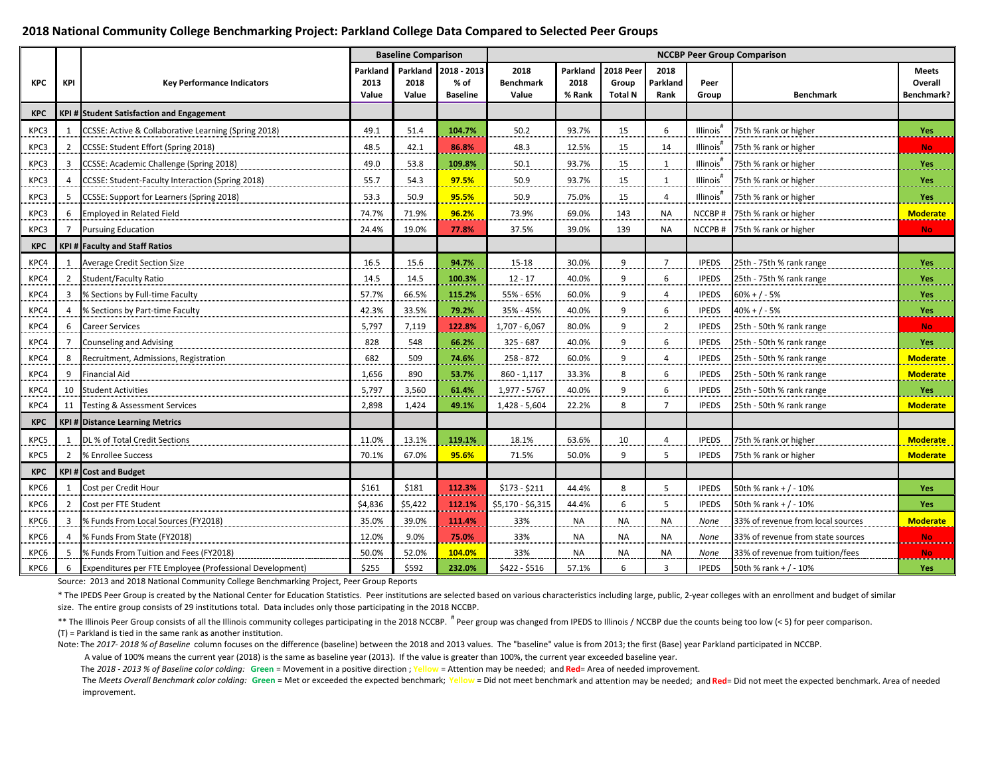#### **2018 National Community College Benchmarking Project: Parkland College Data Compared to Selected Peer Groups**

|            |                |                                                          |                           | <b>Baseline Comparison</b> |                                        | <b>NCCBP Peer Group Comparison</b> |                            |                                             |                          |                       |                                   |                                       |
|------------|----------------|----------------------------------------------------------|---------------------------|----------------------------|----------------------------------------|------------------------------------|----------------------------|---------------------------------------------|--------------------------|-----------------------|-----------------------------------|---------------------------------------|
| <b>KPC</b> | <b>KPI</b>     | <b>Key Performance Indicators</b>                        | Parkland<br>2013<br>Value | Parkland<br>2018<br>Value  | 2018 - 2013<br>% of<br><b>Baseline</b> | 2018<br><b>Benchmark</b><br>Value  | Parkland<br>2018<br>% Rank | <b>2018 Peer</b><br>Group<br><b>Total N</b> | 2018<br>Parkland<br>Rank | Peer<br>Group         | <b>Benchmark</b>                  | <b>Meets</b><br>Overall<br>Benchmark? |
| <b>KPC</b> |                | <b>KPI # Student Satisfaction and Engagement</b>         |                           |                            |                                        |                                    |                            |                                             |                          |                       |                                   |                                       |
| KPC3       |                | CCSSE: Active & Collaborative Learning (Spring 2018)     | 49.1                      | 51.4                       | 104.7%                                 | 50.2                               | 93.7%                      | 15                                          | 6                        | Illinois'             | 75th % rank or higher             | Yes                                   |
| KPC3       | $\mathcal{P}$  | CCSSE: Student Effort (Spring 2018)                      | 48.5                      | 42.1                       | 86.8%                                  | 48.3                               | 12.5%                      | 15                                          | 14                       | Illinois'             | 75th % rank or higher             | <b>No</b>                             |
| KPC3       |                | CCSSE: Academic Challenge (Spring 2018)                  | 49.0                      | 53.8                       | 109.8%                                 | 50.1                               | 93.7%                      | 15                                          | 1                        | Illinois'             | 75th % rank or higher             | Yes                                   |
| KPC3       |                | CCSSE: Student-Faculty Interaction (Spring 2018)         | 55.7                      | 54.3                       | 97.5%                                  | 50.9                               | 93.7%                      | 15                                          | 1                        | Illinois'             | 75th % rank or higher             | Yes                                   |
| KPC3       |                | CCSSE: Support for Learners (Spring 2018)                | 53.3                      | 50.9                       | 95.5%                                  | 50.9                               | 75.0%                      | 15                                          | $\overline{4}$           | Illinois <sup>'</sup> | 75th % rank or higher             | Yes                                   |
| KPC3       | 6              | <b>Employed in Related Field</b>                         | 74.7%                     | 71.9%                      | 96.2%                                  | 73.9%                              | 69.0%                      | 143                                         | <b>NA</b>                | NCCBP#                | 75th % rank or higher             | <b>Moderate</b>                       |
| KPC3       | $\overline{7}$ | <b>Pursuing Education</b>                                | 24.4%                     | 19.0%                      | 77.8%                                  | 37.5%                              | 39.0%                      | 139                                         | <b>NA</b>                | NCCPB#                | 75th % rank or higher             | <b>No</b>                             |
| <b>KPC</b> |                | <b>KPI # Faculty and Staff Ratios</b>                    |                           |                            |                                        |                                    |                            |                                             |                          |                       |                                   |                                       |
| KPC4       | 1              | <b>Average Credit Section Size</b>                       | 16.5                      | 15.6                       | 94.7%                                  | 15-18                              | 30.0%                      | 9                                           | $\overline{7}$           | <b>IPEDS</b>          | 25th - 75th % rank range          | Yes                                   |
| KPC4       | 2              | <b>Student/Faculty Ratio</b>                             | 14.5                      | 14.5                       | 100.3%                                 | $12 - 17$                          | 40.0%                      | 9                                           | 6                        | <b>IPEDS</b>          | 25th - 75th % rank range          | Yes                                   |
| KPC4       |                | % Sections by Full-time Faculty                          | 57.7%                     | 66.5%                      | 115.2%                                 | 55% - 65%                          | 60.0%                      | 9                                           | $\overline{4}$           | <b>IPEDS</b>          | 60% + / - 5%                      | Yes                                   |
| KPC4       |                | % Sections by Part-time Faculty                          | 42.3%                     | 33.5%                      | 79.2%                                  | 35% - 45%                          | 40.0%                      | 9                                           | 6                        | <b>IPEDS</b>          | $40% + / -5%$                     | Yes                                   |
| KPC4       | 6              | <b>Career Services</b>                                   | 5,797                     | 7,119                      | 122.8%                                 | $1,707 - 6,067$                    | 80.0%                      | 9                                           | $\overline{2}$           | <b>IPEDS</b>          | 25th - 50th % rank range          | <b>No</b>                             |
| KPC4       |                | <b>Counseling and Advising</b>                           | 828                       | 548                        | 66.2%                                  | $325 - 687$                        | 40.0%                      | 9                                           | 6                        | <b>IPEDS</b>          | 25th - 50th % rank range          | Yes                                   |
| KPC4       |                | Recruitment, Admissions, Registration                    | 682                       | 509                        | 74.6%                                  | $258 - 872$                        | 60.0%                      | 9                                           | $\overline{4}$           | <b>IPEDS</b>          | 25th - 50th % rank range          | <b>Moderate</b>                       |
| KPC4       | q              | <b>Financial Aid</b>                                     | 1,656                     | 890                        | 53.7%                                  | $860 - 1,117$                      | 33.3%                      | 8                                           | 6                        | <b>IPEDS</b>          | 25th - 50th % rank range          | <b>Moderate</b>                       |
| KPC4       | 10             | <b>Student Activities</b>                                | 5,797                     | 3,560                      | 61.4%                                  | 1,977 - 5767                       | 40.0%                      | 9                                           | 6                        | <b>IPEDS</b>          | 25th - 50th % rank range          | Yes                                   |
| KPC4       | 11             | <b>Testing &amp; Assessment Services</b>                 | 2,898                     | 1,424                      | 49.1%                                  | 1,428 - 5,604                      | 22.2%                      | 8                                           | $\overline{7}$           | <b>IPEDS</b>          | 25th - 50th % rank range          | <b>Moderate</b>                       |
| <b>KPC</b> |                | <b>KPI # Distance Learning Metrics</b>                   |                           |                            |                                        |                                    |                            |                                             |                          |                       |                                   |                                       |
| KPC5       | -1             | DL % of Total Credit Sections                            | 11.0%                     | 13.1%                      | 119.1%                                 | 18.1%                              | 63.6%                      | 10                                          | $\overline{4}$           | <b>IPEDS</b>          | 75th % rank or higher             | <b>Moderate</b>                       |
| KPC5       | $\overline{2}$ | % Enrollee Success                                       | 70.1%                     | 67.0%                      | 95.6%                                  | 71.5%                              | 50.0%                      | 9                                           | 5                        | <b>IPEDS</b>          | 75th % rank or higher             | <b>Moderate</b>                       |
| <b>KPC</b> |                | KPI # Cost and Budget                                    |                           |                            |                                        |                                    |                            |                                             |                          |                       |                                   |                                       |
| KPC6       | -1             | Cost per Credit Hour                                     | \$161                     | \$181                      | 112.3%                                 | $$173 - $211$                      | 44.4%                      | 8                                           | 5                        | <b>IPEDS</b>          | 50th % rank + / - 10%             | Yes                                   |
| KPC6       | 2              | Cost per FTE Student                                     | \$4,836                   | \$5,422                    | 112.1%                                 | \$5,170 - \$6,315                  | 44.4%                      | 6                                           | 5                        | <b>IPEDS</b>          | 50th % rank + $/ - 10%$           | Yes                                   |
| KPC6       |                | % Funds From Local Sources (FY2018)                      | 35.0%                     | 39.0%                      | 111.4%                                 | 33%                                | <b>NA</b>                  | <b>NA</b>                                   | <b>NA</b>                | None                  | 33% of revenue from local sources | <b>Moderate</b>                       |
| KPC6       | $\Delta$       | % Funds From State (FY2018)                              | 12.0%                     | 9.0%                       | 75.0%                                  | 33%                                | <b>NA</b>                  | <b>NA</b>                                   | <b>NA</b>                | None                  | 33% of revenue from state sources | <b>No</b>                             |
| KPC6       |                | % Funds From Tuition and Fees (FY2018)                   | 50.0%                     | 52.0%                      | 104.0%                                 | 33%                                | <b>NA</b>                  | <b>NA</b>                                   | <b>NA</b>                | None                  | 33% of revenue from tuition/fees  | <b>No</b>                             |
| KPC6       | 6              | Expenditures per FTE Employee (Professional Development) | \$255                     | \$592                      | 232.0%                                 | $$422 - $516$                      | 57.1%                      | 6                                           | 3                        | <b>IPEDS</b>          | 50th % rank + / - 10%             | <b>Yes</b>                            |

Source: 2013 and 2018 National Community College Benchmarking Project, Peer Group Reports

\* The IPEDS Peer Group is created by the National Center for Education Statistics. Peer institutions are selected based on various characteristics including large, public, 2-year colleges with an enrollment and budget of s size. The entire group consists of 29 institutions total. Data includes only those participating in the 2018 NCCBP.

\*\* The Illinois Peer Group consists of all the Illinois community colleges participating in the 2018 NCCBP. # Peer group was changed from IPEDS to Illinois / NCCBP due the counts being too low (< 5) for peer comparison. (T) <sup>=</sup> Parkland is tied in the same rank as another institution.

Note: The 2017- 2018 % of Baseline column focuses on the difference (baseline) between the 2018 and 2013 values. The "baseline" value is from 2013; the first (Base) year Parkland participated in NCCBP.

A value of 100% means the current year (2018) is the same as baseline year (2013). If the value is greater than 100%, the current year exceeded baseline year.

The 2018 - 2013 % of Baseline color colding: Green = Movement in a positive direction ; Yellow = Attention may be needed; and Red= Area of needed improvement.

The *Meets Overall Benchmark color colding:* Green = Met or exceeded the expected benchmark; Yellow = Did not meet benchmark and attention may be needed; and Red= Did not meet the expected benchmark. Area of needed improvement.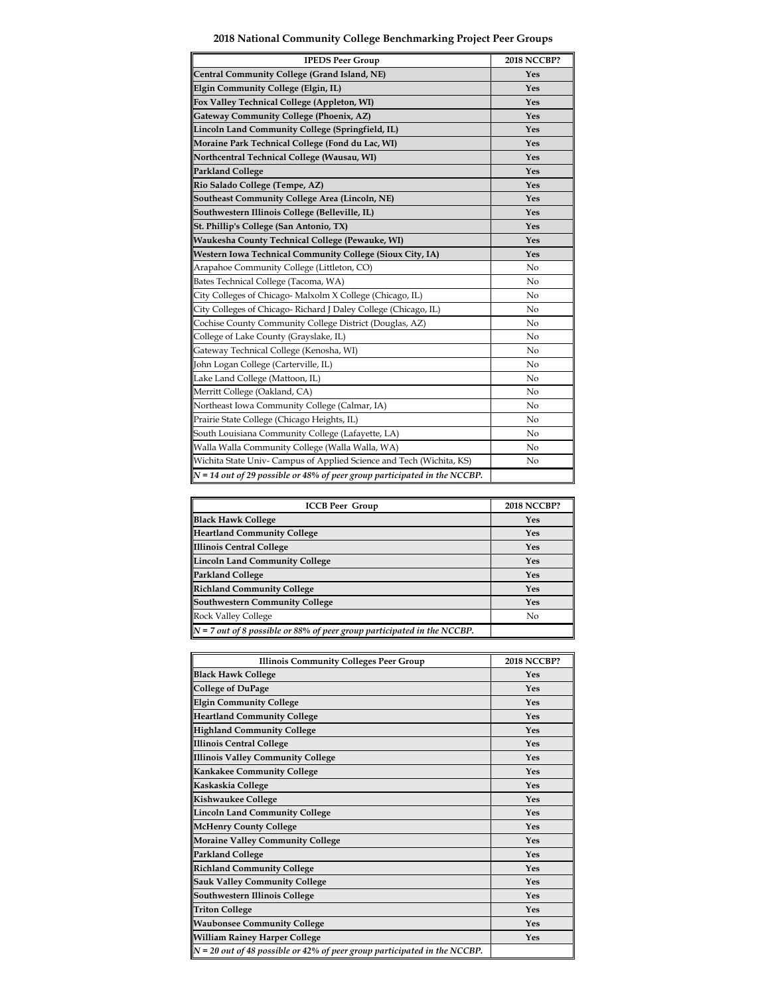|  | 2018 National Community College Benchmarking Project Peer Groups |  |  |
|--|------------------------------------------------------------------|--|--|
|  |                                                                  |  |  |

| <b>IPEDS Peer Group</b>                                                     | <b>2018 NCCBP?</b> |
|-----------------------------------------------------------------------------|--------------------|
| Central Community College (Grand Island, NE)                                | Yes                |
| Elgin Community College (Elgin, IL)                                         | Yes                |
| Fox Valley Technical College (Appleton, WI)                                 | Yes                |
| Gateway Community College (Phoenix, AZ)                                     | Yes                |
| Lincoln Land Community College (Springfield, IL)                            | Yes                |
| Moraine Park Technical College (Fond du Lac, WI)                            | Yes                |
| Northcentral Technical College (Wausau, WI)                                 | Yes                |
| <b>Parkland College</b>                                                     | Yes                |
| Rio Salado College (Tempe, AZ)                                              | Yes                |
| Southeast Community College Area (Lincoln, NE)                              | Yes                |
| Southwestern Illinois College (Belleville, IL)                              | Yes                |
| St. Phillip's College (San Antonio, TX)                                     | Yes                |
| Waukesha County Technical College (Pewauke, WI)                             | Yes                |
| Western Iowa Technical Community College (Sioux City, IA)                   | Yes                |
| Arapahoe Community College (Littleton, CO)                                  | N <sub>0</sub>     |
| Bates Technical College (Tacoma, WA)                                        | N <sub>0</sub>     |
| City Colleges of Chicago-Malxolm X College (Chicago, IL)                    | No                 |
| City Colleges of Chicago-Richard J Daley College (Chicago, IL)              | No                 |
| Cochise County Community College District (Douglas, AZ)                     | No                 |
| College of Lake County (Grayslake, IL)                                      | No                 |
| Gateway Technical College (Kenosha, WI)                                     | N <sub>o</sub>     |
| John Logan College (Carterville, IL)                                        | N <sub>0</sub>     |
| Lake Land College (Mattoon, IL)                                             | No                 |
| Merritt College (Oakland, CA)                                               | N <sub>o</sub>     |
| Northeast Iowa Community College (Calmar, IA)                               | N <sub>0</sub>     |
| Prairie State College (Chicago Heights, IL)                                 | No                 |
| South Louisiana Community College (Lafayette, LA)                           | No                 |
| Walla Walla Community College (Walla Walla, WA)                             | No                 |
| Wichita State Univ- Campus of Applied Science and Tech (Wichita, KS)        | No                 |
| $N = 14$ out of 29 possible or 48% of peer group participated in the NCCBP. |                    |

| <b>ICCB Peer Group</b>                                                    | <b>2018 NCCBP?</b> |
|---------------------------------------------------------------------------|--------------------|
| <b>Black Hawk College</b>                                                 | Yes                |
| <b>Heartland Community College</b>                                        | Yes                |
| <b>Illinois Central College</b>                                           | Yes                |
| <b>Lincoln Land Community College</b>                                     | Yes                |
| <b>Parkland College</b>                                                   | Yes                |
| <b>Richland Community College</b>                                         | Yes                |
| <b>Southwestern Community College</b>                                     | Yes                |
| <b>Rock Valley College</b>                                                | No                 |
| $N = 7$ out of 8 possible or 88% of peer group participated in the NCCBP. |                    |

| <b>Illinois Community Colleges Peer Group</b>                               | <b>2018 NCCBP?</b> |
|-----------------------------------------------------------------------------|--------------------|
| <b>Black Hawk College</b>                                                   | Yes                |
| <b>College of DuPage</b>                                                    | Yes                |
| <b>Elgin Community College</b>                                              | Yes                |
| <b>Heartland Community College</b>                                          | Yes                |
| <b>Highland Community College</b>                                           | Yes                |
| <b>Illinois Central College</b>                                             | Yes                |
| Illinois Valley Community College                                           | Yes                |
| Kankakee Community College                                                  | Yes                |
| Kaskaskia College                                                           | Yes                |
| <b>Kishwaukee College</b>                                                   | Yes                |
| Lincoln Land Community College                                              | Yes                |
| <b>McHenry County College</b>                                               | Yes                |
| Moraine Valley Community College                                            | Yes                |
| <b>Parkland College</b>                                                     | Yes                |
| <b>Richland Community College</b>                                           | Yes                |
| <b>Sauk Valley Community College</b>                                        | Yes                |
| Southwestern Illinois College                                               | Yes                |
| <b>Triton College</b>                                                       | Yes                |
| <b>Waubonsee Community College</b>                                          | Yes                |
| <b>William Rainey Harper College</b>                                        | Yes                |
| $N = 20$ out of 48 possible or 42% of peer group participated in the NCCBP. |                    |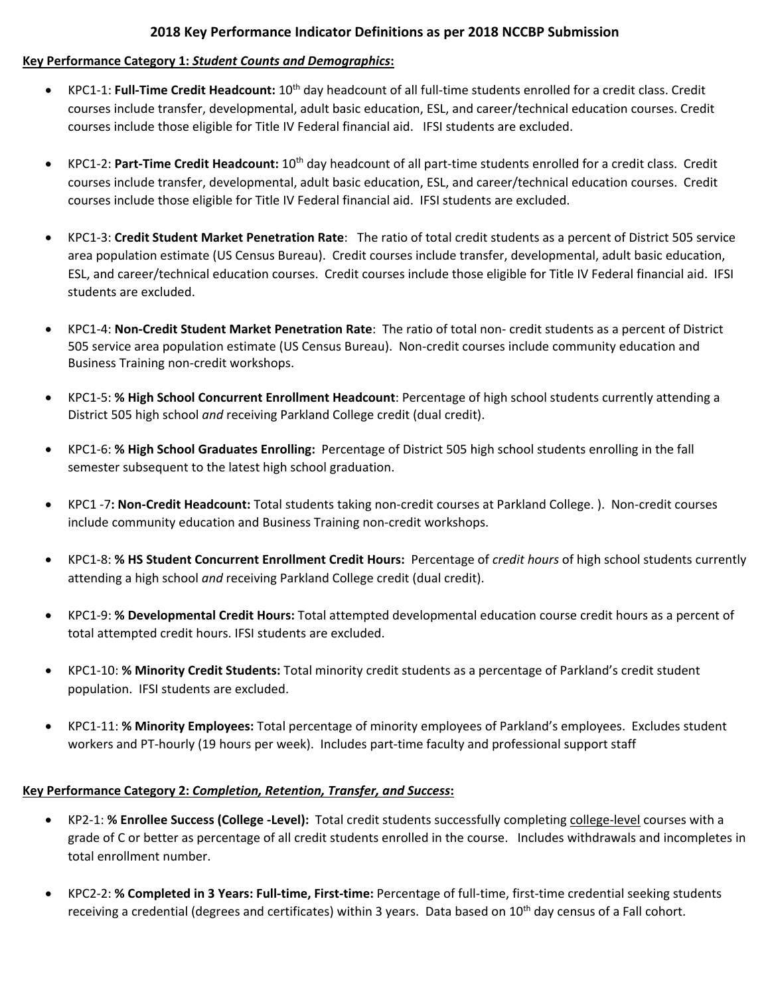## **2018 Key Performance Indicator Definitions as per 2018 NCCBP Submission**

#### **Key Performance Category 1:** *Student Counts and Demographics***:**

- KPC1‐1: **Full‐Time Credit Headcount:** 10th day headcount of all full‐time students enrolled for a credit class. Credit courses include transfer, developmental, adult basic education, ESL, and career/technical education courses. Credit courses include those eligible for Title IV Federal financial aid. IFSI students are excluded.
- KPC1‐2: **Part‐Time Credit Headcount:** 10th day headcount of all part‐time students enrolled for a credit class. Credit courses include transfer, developmental, adult basic education, ESL, and career/technical education courses. Credit courses include those eligible for Title IV Federal financial aid. IFSI students are excluded.
- KPC1‐3: **Credit Student Market Penetration Rate**: The ratio of total credit students as a percent of District 505 service area population estimate (US Census Bureau). Credit courses include transfer, developmental, adult basic education, ESL, and career/technical education courses. Credit courses include those eligible for Title IV Federal financial aid. IFSI students are excluded.
- KPC1‐4: **Non‐Credit Student Market Penetration Rate**: The ratio of total non‐ credit students as a percent of District 505 service area population estimate (US Census Bureau). Non‐credit courses include community education and Business Training non‐credit workshops.
- KPC1‐5: **% High School Concurrent Enrollment Headcount**: Percentage of high school students currently attending a District 505 high school *and* receiving Parkland College credit (dual credit).
- KPC1‐6: **% High School Graduates Enrolling:** Percentage of District 505 high school students enrolling in the fall semester subsequent to the latest high school graduation.
- KPC1 ‐7**: Non‐Credit Headcount:** Total students taking non‐credit courses at Parkland College. ). Non‐credit courses include community education and Business Training non‐credit workshops.
- KPC1‐8: **% HS Student Concurrent Enrollment Credit Hours:** Percentage of *credit hours* of high school students currently attending a high school *and* receiving Parkland College credit (dual credit).
- KPC1‐9: **% Developmental Credit Hours:** Total attempted developmental education course credit hours as a percent of total attempted credit hours. IFSI students are excluded.
- KPC1‐10: **% Minority Credit Students:** Total minority credit students as a percentage of Parkland's credit student population. IFSI students are excluded.
- KPC1‐11: **% Minority Employees:** Total percentage of minority employees of Parkland's employees. Excludes student workers and PT-hourly (19 hours per week). Includes part-time faculty and professional support staff

## **Key Performance Category 2:** *Completion, Retention, Transfer, and Success***:**

- KP2‐1: **% Enrollee Success (College ‐Level):** Total credit students successfully completing college‐level courses with a grade of C or better as percentage of all credit students enrolled in the course. Includes withdrawals and incompletes in total enrollment number.
- KPC2‐2: **% Completed in 3 Years: Full‐time, First‐time:** Percentage of full‐time, first‐time credential seeking students receiving a credential (degrees and certificates) within 3 years. Data based on 10<sup>th</sup> day census of a Fall cohort.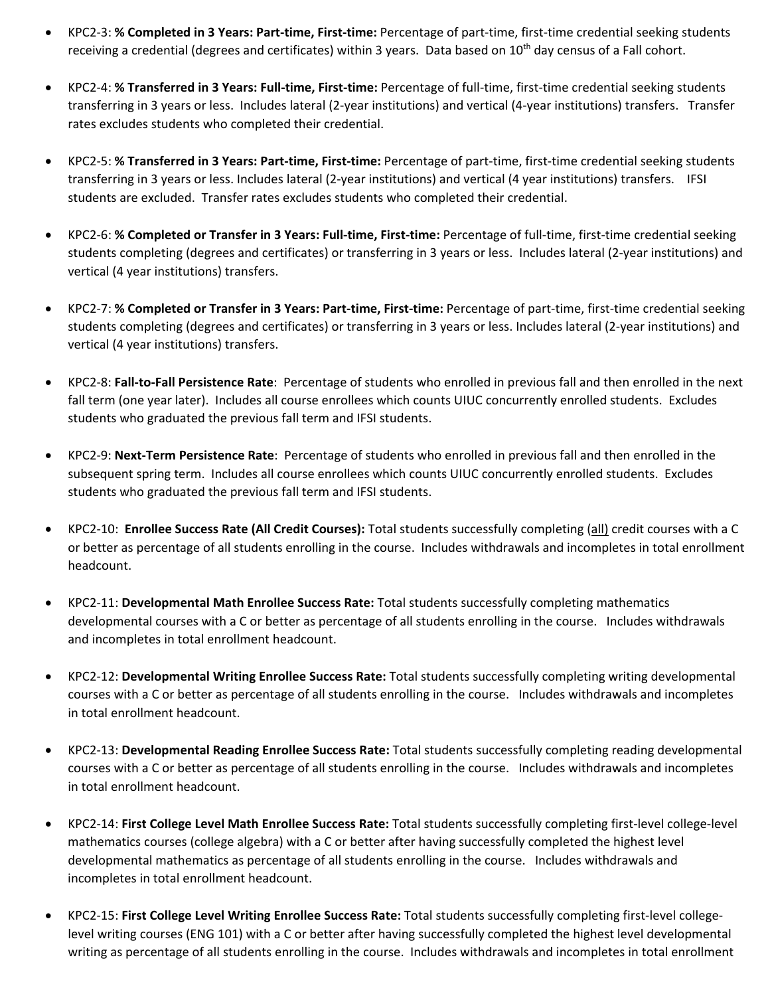- KPC2‐3: **% Completed in 3 Years: Part‐time, First‐time:** Percentage of part‐time, first‐time credential seeking students receiving a credential (degrees and certificates) within 3 years. Data based on 10<sup>th</sup> day census of a Fall cohort.
- KPC2‐4: **% Transferred in 3 Years: Full‐time, First‐time:** Percentage of full‐time, first‐time credential seeking students transferring in 3 years or less. Includes lateral (2‐year institutions) and vertical (4‐year institutions) transfers. Transfer rates excludes students who completed their credential.
- KPC2‐5: **% Transferred in 3 Years: Part‐time, First‐time:** Percentage of part‐time, first‐time credential seeking students transferring in 3 years or less. Includes lateral (2‐year institutions) and vertical (4 year institutions) transfers. IFSI students are excluded. Transfer rates excludes students who completed their credential.
- KPC2‐6: **% Completed or Transfer in 3 Years: Full‐time, First‐time:** Percentage of full‐time, first‐time credential seeking students completing (degrees and certificates) or transferring in 3 years or less. Includes lateral (2‐year institutions) and vertical (4 year institutions) transfers.
- KPC2‐7: **% Completed or Transfer in 3 Years: Part‐time, First‐time:** Percentage of part‐time, first‐time credential seeking students completing (degrees and certificates) or transferring in 3 years or less. Includes lateral (2‐year institutions) and vertical (4 year institutions) transfers.
- KPC2‐8: **Fall‐to‐Fall Persistence Rate**: Percentage of students who enrolled in previous fall and then enrolled in the next fall term (one year later). Includes all course enrollees which counts UIUC concurrently enrolled students. Excludes students who graduated the previous fall term and IFSI students.
- KPC2‐9: **Next‐Term Persistence Rate**: Percentage of students who enrolled in previous fall and then enrolled in the subsequent spring term. Includes all course enrollees which counts UIUC concurrently enrolled students. Excludes students who graduated the previous fall term and IFSI students.
- KPC2‐10: **Enrollee Success Rate (All Credit Courses):** Total students successfully completing (all) credit courses with a C or better as percentage of all students enrolling in the course. Includes withdrawals and incompletes in total enrollment headcount.
- KPC2‐11: **Developmental Math Enrollee Success Rate:** Total students successfully completing mathematics developmental courses with a C or better as percentage of all students enrolling in the course. Includes withdrawals and incompletes in total enrollment headcount.
- KPC2‐12: **Developmental Writing Enrollee Success Rate:** Total students successfully completing writing developmental courses with a C or better as percentage of all students enrolling in the course. Includes withdrawals and incompletes in total enrollment headcount.
- KPC2‐13: **Developmental Reading Enrollee Success Rate:** Total students successfully completing reading developmental courses with a C or better as percentage of all students enrolling in the course. Includes withdrawals and incompletes in total enrollment headcount.
- KPC2‐14: **First College Level Math Enrollee Success Rate:** Total students successfully completing first‐level college‐level mathematics courses (college algebra) with a C or better after having successfully completed the highest level developmental mathematics as percentage of all students enrolling in the course. Includes withdrawals and incompletes in total enrollment headcount.
- KPC2‐15: **First College Level Writing Enrollee Success Rate:** Total students successfully completing first‐level college‐ level writing courses (ENG 101) with a C or better after having successfully completed the highest level developmental writing as percentage of all students enrolling in the course. Includes withdrawals and incompletes in total enrollment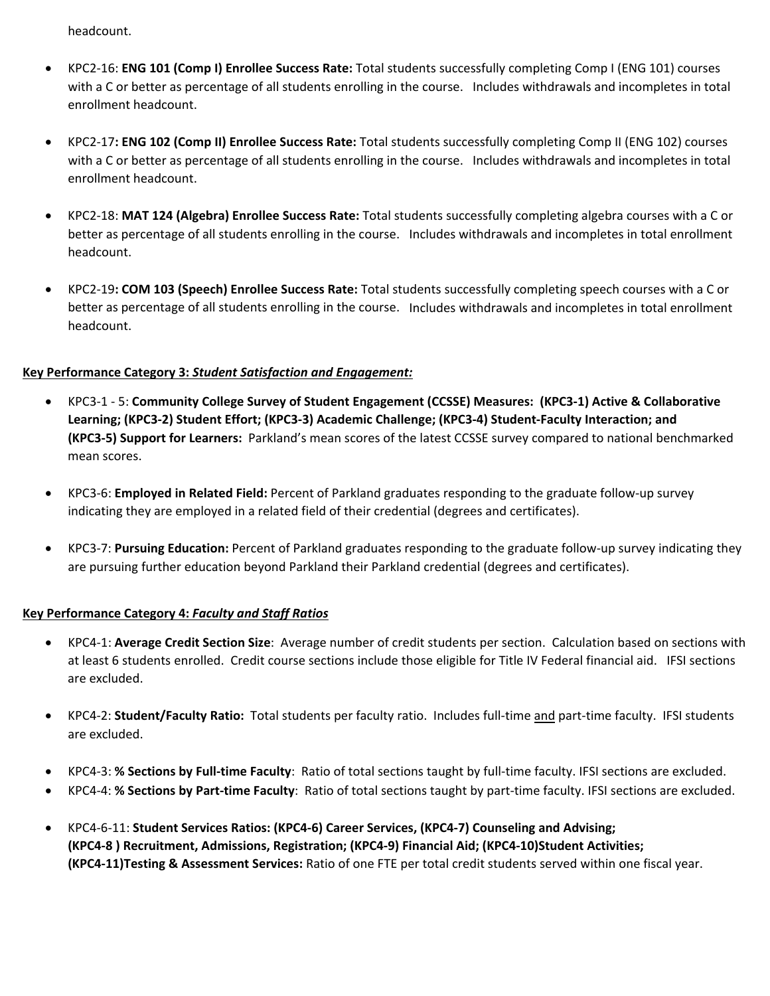headcount.

- KPC2‐16: **ENG 101 (Comp I) Enrollee Success Rate:** Total students successfully completing Comp I (ENG 101) courses with a C or better as percentage of all students enrolling in the course. Includes withdrawals and incompletes in total enrollment headcount.
- KPC2‐17**: ENG 102 (Comp II) Enrollee Success Rate:** Total students successfully completing Comp II (ENG 102) courses with a C or better as percentage of all students enrolling in the course. Includes withdrawals and incompletes in total enrollment headcount.
- KPC2‐18: **MAT 124 (Algebra) Enrollee Success Rate:** Total students successfully completing algebra courses with a C or better as percentage of all students enrolling in the course. Includes withdrawals and incompletes in total enrollment headcount.
- KPC2‐19**: COM 103 (Speech) Enrollee Success Rate:** Total students successfully completing speech courses with a C or better as percentage of all students enrolling in the course. Includes withdrawals and incompletes in total enrollment headcount.

## **Key Performance Category 3:** *Student Satisfaction and Engagement:*

- KPC3‐1 ‐ 5: **Community College Survey of Student Engagement (CCSSE) Measures: (KPC3‐1) Active & Collaborative** Learning; (KPC3-2) Student Effort; (KPC3-3) Academic Challenge; (KPC3-4) Student-Faculty Interaction; and **(KPC3‐5) Support for Learners:** Parkland's mean scores of the latest CCSSE survey compared to national benchmarked mean scores.
- KPC3‐6: **Employed in Related Field:** Percent of Parkland graduates responding to the graduate follow‐up survey indicating they are employed in a related field of their credential (degrees and certificates).
- KPC3‐7: **Pursuing Education:** Percent of Parkland graduates responding to the graduate follow‐up survey indicating they are pursuing further education beyond Parkland their Parkland credential (degrees and certificates).

# **Key Performance Category 4:** *Faculty and Staff Ratios*

- KPC4‐1: **Average Credit Section Size**: Average number of credit students per section. Calculation based on sections with at least 6 students enrolled. Credit course sections include those eligible for Title IV Federal financial aid. IFSI sections are excluded.
- KPC4-2: **Student/Faculty Ratio:** Total students per faculty ratio. Includes full-time and part-time faculty. IFSI students are excluded.
- KPC4‐3: **% Sections by Full‐time Faculty**: Ratio of total sections taught by full‐time faculty. IFSI sections are excluded.
- KPC4‐4: **% Sections by Part‐time Faculty**: Ratio of total sections taught by part‐time faculty. IFSI sections are excluded.
- KPC4-6-11: Student Services Ratios: (KPC4-6) Career Services, (KPC4-7) Counseling and Advising; (KPC4-8) Recruitment, Admissions, Registration; (KPC4-9) Financial Aid; (KPC4-10)Student Activities; **(KPC4‐11)Testing & Assessment Services:** Ratio of one FTE per total credit students served within one fiscal year.